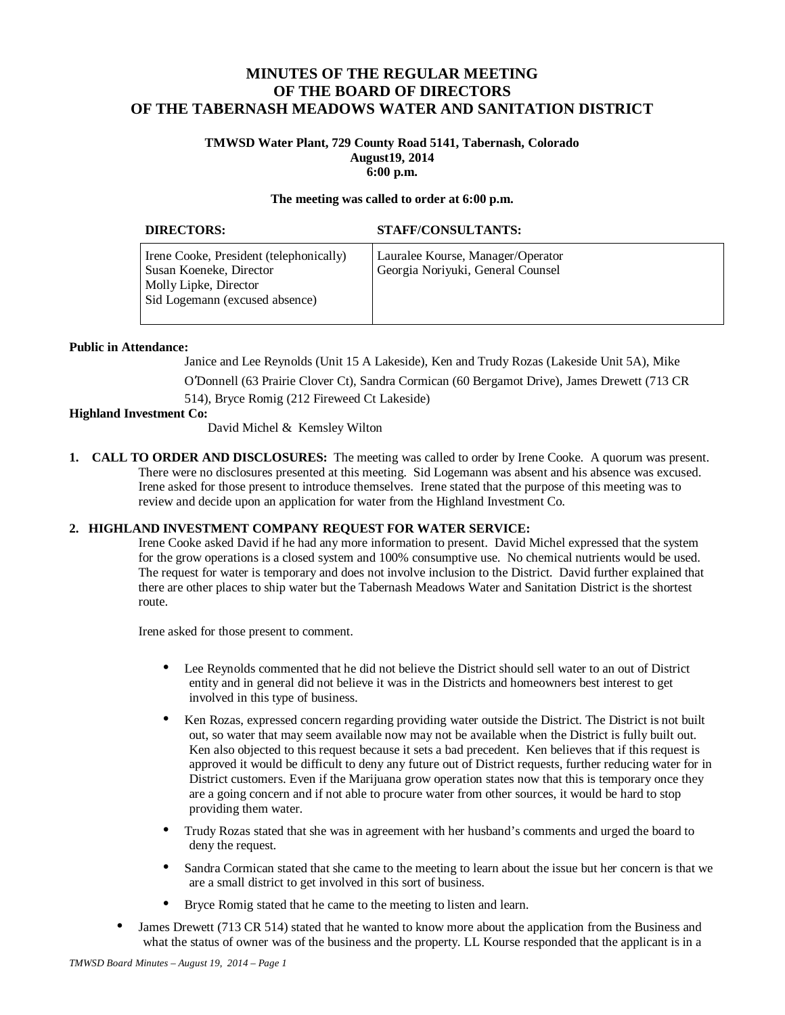# **MINUTES OF THE REGULAR MEETING OF THE BOARD OF DIRECTORS OF THE TABERNASH MEADOWS WATER AND SANITATION DISTRICT**

### **TMWSD Water Plant, 729 County Road 5141, Tabernash, Colorado August19, 2014 6:00 p.m.**

#### **The meeting was called to order at 6:00 p.m.**

| <b>DIRECTORS:</b>                                                                                                             | STAFF/CONSULTANTS:                                                     |
|-------------------------------------------------------------------------------------------------------------------------------|------------------------------------------------------------------------|
| Irene Cooke, President (telephonically)<br>Susan Koeneke, Director<br>Molly Lipke, Director<br>Sid Logemann (excused absence) | Lauralee Kourse, Manager/Operator<br>Georgia Noriyuki, General Counsel |

#### **Public in Attendance:**

Janice and Lee Reynolds (Unit 15 A Lakeside), Ken and Trudy Rozas (Lakeside Unit 5A), Mike

O'Donnell (63 Prairie Clover Ct), Sandra Cormican (60 Bergamot Drive), James Drewett (713 CR 514), Bryce Romig (212 Fireweed Ct Lakeside)

#### **Highland Investment Co:**

David Michel & Kemsley Wilton

**1. CALL TO ORDER AND DISCLOSURES:** The meeting was called to order by Irene Cooke. A quorum was present. There were no disclosures presented at this meeting. Sid Logemann was absent and his absence was excused. Irene asked for those present to introduce themselves. Irene stated that the purpose of this meeting was to review and decide upon an application for water from the Highland Investment Co.

## **2. HIGHLAND INVESTMENT COMPANY REQUEST FOR WATER SERVICE:**

Irene Cooke asked David if he had any more information to present. David Michel expressed that the system for the grow operations is a closed system and 100% consumptive use. No chemical nutrients would be used. The request for water is temporary and does not involve inclusion to the District. David further explained that there are other places to ship water but the Tabernash Meadows Water and Sanitation District is the shortest route.

Irene asked for those present to comment.

- Lee Reynolds commented that he did not believe the District should sell water to an out of District entity and in general did not believe it was in the Districts and homeowners best interest to get involved in this type of business.
- Ken Rozas, expressed concern regarding providing water outside the District. The District is not built out, so water that may seem available now may not be available when the District is fully built out. Ken also objected to this request because it sets a bad precedent. Ken believes that if this request is approved it would be difficult to deny any future out of District requests, further reducing water for in District customers. Even if the Marijuana grow operation states now that this is temporary once they are a going concern and if not able to procure water from other sources, it would be hard to stop providing them water.
- Trudy Rozas stated that she was in agreement with her husband's comments and urged the board to deny the request.
- Sandra Cormican stated that she came to the meeting to learn about the issue but her concern is that we are a small district to get involved in this sort of business.
- Bryce Romig stated that he came to the meeting to listen and learn.
- James Drewett (713 CR 514) stated that he wanted to know more about the application from the Business and what the status of owner was of the business and the property. LL Kourse responded that the applicant is in a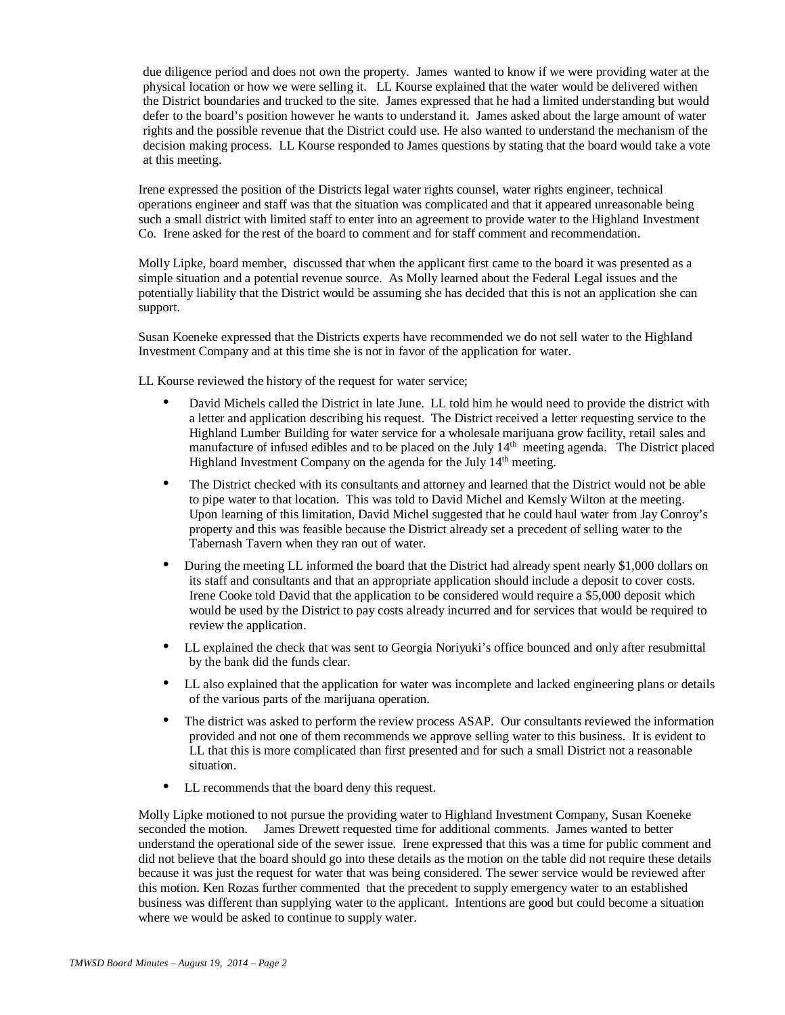due diligence period and does not own the property. James wanted to know if we were providing water at the physical location or how we were selling it. LL Kourse explained that the water would be delivered withen the District boundaries and trucked to the site. James expressed that he had a limited understanding but would defer to the board's position however he wants to understand it. James asked about the large amount of water rights and the possible revenue that the District could use. He also wanted to understand the mechanism of the decision making process. LL Kourse responded to James questions by stating that the board would take a vote at this meeting.

Irene expressed the position of the Districts legal water rights counsel, water rights engineer, technical operations engineer and staff was that the situation was complicated and that it appeared unreasonable being such a small district with limited staff to enter into an agreement to provide water to the Highland Investment Co. Irene asked for the rest of the board to comment and for staff comment and recommendation.

Molly Lipke, board member, discussed that when the applicant first came to the board it was presented as a simple situation and a potential revenue source. As Molly learned about the Federal Legal issues and the potentially liability that the District would be assuming she has decided that this is not an application she can support.

Susan Koeneke expressed that the Districts experts have recommended we do not sell water to the Highland Investment Company and at this time she is not in favor of the application for water.

LL Kourse reviewed the history of the request for water service;

- David Michels called the District in late June. LL told him he would need to provide the district with a letter and application describing his request. The District received a letter requesting service to the Highland Lumber Building for water service for a wholesale marijuana grow facility, retail sales and manufacture of infused edibles and to be placed on the July 14<sup>th</sup> meeting agenda. The District placed Highland Investment Company on the agenda for the July 14<sup>th</sup> meeting.
- The District checked with its consultants and attorney and learned that the District would not be able to pipe water to that location. This was told to David Michel and Kemsly Wilton at the meeting. Upon learning of this limitation, David Michel suggested that he could haul water from Jay Conroy's property and this was feasible because the District already set a precedent of selling water to the Tabernash Tavern when they ran out of water.
- During the meeting LL informed the board that the District had already spent nearly \$1,000 dollars on its staff and consultants and that an appropriate application should include a deposit to cover costs. Irene Cooke told David that the application to be considered would require a \$5,000 deposit which would be used by the District to pay costs already incurred and for services that would be required to review the application.
- LL explained the check that was sent to Georgia Noriyuki's office bounced and only after resubmittal by the bank did the funds clear.
- LL also explained that the application for water was incomplete and lacked engineering plans or details of the various parts of the marijuana operation.
- The district was asked to perform the review process ASAP. Our consultants reviewed the information provided and not one of them recommends we approve selling water to this business. It is evident to LL that this is more complicated than first presented and for such a small District not a reasonable situation.
- LL recommends that the board deny this request.

Molly Lipke motioned to not pursue the providing water to Highland Investment Company, Susan Koeneke seconded the motion. James Drewett requested time for additional comments. James wanted to better understand the operational side of the sewer issue. Irene expressed that this was a time for public comment and did not believe that the board should go into these details as the motion on the table did not require these details because it was just the request for water that was being considered. The sewer service would be reviewed after this motion. Ken Rozas further commented that the precedent to supply emergency water to an established business was different than supplying water to the applicant. Intentions are good but could become a situation where we would be asked to continue to supply water.